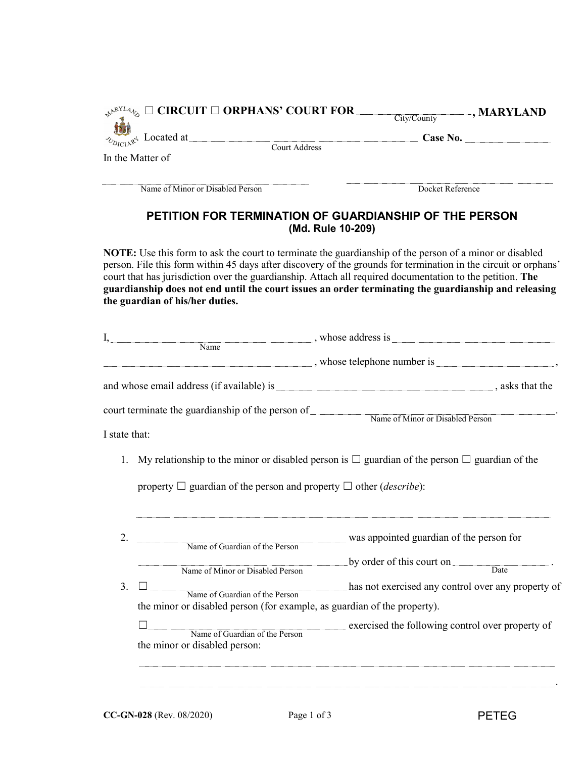| $\mathbb{R}^{\mathbb{R}^{NLA}\mathbb{Q}}$ $\square$ CIRCUIT $\square$ ORPHANS' COURT FOR | , MARYLAND<br>City/County |
|------------------------------------------------------------------------------------------|---------------------------|
| $\mathcal{L}_{\text{Dirichlet}}$ Located at                                              | Case No.                  |
| In the Matter of                                                                         | Court Address             |
| Name of Minor or Disabled Person                                                         | Docket Reference          |

## **PETITION FOR TERMINATION OF GUARDIANSHIP OF THE PERSON (Md. Rule 10-209)**

**NOTE:** Use this form to ask the court to terminate the guardianship of the person of a minor or disabled person. File this form within 45 days after discovery of the grounds for termination in the circuit or orphans' court that has jurisdiction over the guardianship. Attach all required documentation to the petition. **The guardianship does not end until the court issues an order terminating the guardianship and releasing the guardian of his/her duties.**

| I,            |                                                                                                                                                                                                                                                                                                                                                                                                                                                                                            | $\Box$ , whose address is $\Box$                                                                        |  |  |
|---------------|--------------------------------------------------------------------------------------------------------------------------------------------------------------------------------------------------------------------------------------------------------------------------------------------------------------------------------------------------------------------------------------------------------------------------------------------------------------------------------------------|---------------------------------------------------------------------------------------------------------|--|--|
|               | $\blacksquare$ $\blacksquare$ $\blacksquare$ $\blacksquare$ $\blacksquare$ $\blacksquare$ $\blacksquare$ $\blacksquare$ $\blacksquare$ $\blacksquare$ $\blacksquare$ $\blacksquare$ $\blacksquare$ $\blacksquare$ $\blacksquare$ $\blacksquare$ $\blacksquare$ $\blacksquare$ $\blacksquare$ $\blacksquare$ $\blacksquare$ $\blacksquare$ $\blacksquare$ $\blacksquare$ $\blacksquare$ $\blacksquare$ $\blacksquare$ $\blacksquare$ $\blacksquare$ $\blacksquare$ $\blacksquare$ $\blacks$ |                                                                                                         |  |  |
|               |                                                                                                                                                                                                                                                                                                                                                                                                                                                                                            | $\blacksquare$ whose telephone number is $\blacksquare$ , whose telephone number is $\blacksquare$ ,    |  |  |
|               |                                                                                                                                                                                                                                                                                                                                                                                                                                                                                            |                                                                                                         |  |  |
|               |                                                                                                                                                                                                                                                                                                                                                                                                                                                                                            | court terminate the guardianship of the person of Name of Minor or Disabled Person                      |  |  |
| I state that: |                                                                                                                                                                                                                                                                                                                                                                                                                                                                                            |                                                                                                         |  |  |
| 1.            |                                                                                                                                                                                                                                                                                                                                                                                                                                                                                            | My relationship to the minor or disabled person is $\Box$ guardian of the person $\Box$ guardian of the |  |  |
|               | property $\Box$ guardian of the person and property $\Box$ other ( <i>describe</i> ):                                                                                                                                                                                                                                                                                                                                                                                                      |                                                                                                         |  |  |
| 2.            |                                                                                                                                                                                                                                                                                                                                                                                                                                                                                            | Was appointed guardian of the person for<br>Name of Guardian of the Person                              |  |  |
|               |                                                                                                                                                                                                                                                                                                                                                                                                                                                                                            |                                                                                                         |  |  |
|               | Name of Minor or Disabled Person                                                                                                                                                                                                                                                                                                                                                                                                                                                           | by order of this court on $\frac{a}{a}$ .                                                               |  |  |
| 3.            | Name of Guardian of the Person                                                                                                                                                                                                                                                                                                                                                                                                                                                             | has not exercised any control over any property of                                                      |  |  |
|               | the minor or disabled person (for example, as guardian of the property).                                                                                                                                                                                                                                                                                                                                                                                                                   |                                                                                                         |  |  |
|               |                                                                                                                                                                                                                                                                                                                                                                                                                                                                                            | Name of Guardian of the Person<br>exercised the following control over property of                      |  |  |
|               | the minor or disabled person:                                                                                                                                                                                                                                                                                                                                                                                                                                                              |                                                                                                         |  |  |
|               |                                                                                                                                                                                                                                                                                                                                                                                                                                                                                            |                                                                                                         |  |  |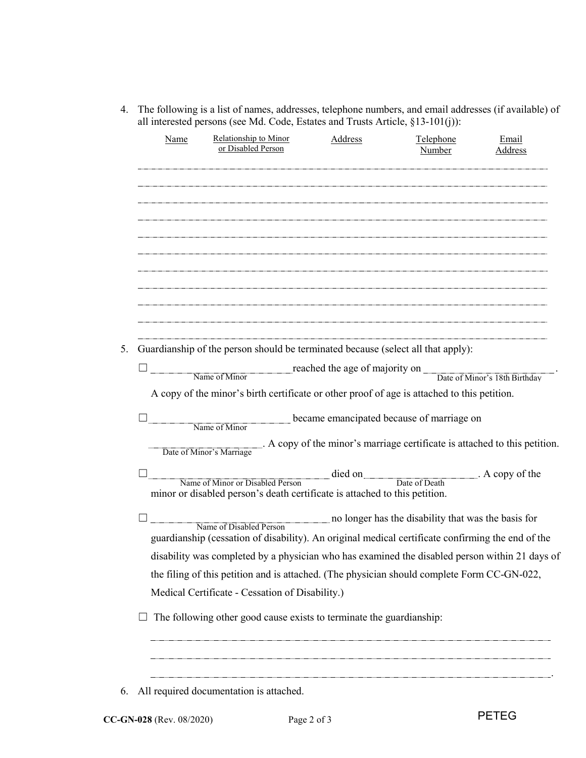4. The following is a list of names, addresses, telephone numbers, and email addresses (if available) of all interested persons (see Md. Code, Estates and Trusts Article, §13-101(j)):

| Name | Relationship to Minor<br>or Disabled Person                                                                                  | Address | Telephone<br>Number                                 | Email<br>Address |
|------|------------------------------------------------------------------------------------------------------------------------------|---------|-----------------------------------------------------|------------------|
|      |                                                                                                                              |         |                                                     |                  |
|      |                                                                                                                              |         |                                                     |                  |
|      |                                                                                                                              |         |                                                     |                  |
|      |                                                                                                                              |         |                                                     |                  |
|      |                                                                                                                              |         |                                                     |                  |
|      |                                                                                                                              |         |                                                     |                  |
|      |                                                                                                                              |         |                                                     |                  |
|      | Guardianship of the person should be terminated because (select all that apply):                                             |         |                                                     |                  |
|      | reached the age of majority on Date of Minor's 18th Birthday                                                                 |         |                                                     |                  |
|      | A copy of the minor's birth certificate or other proof of age is attached to this petition.                                  |         |                                                     |                  |
|      |                                                                                                                              |         |                                                     |                  |
|      | Name of Minor                                                                                                                |         | became emancipated because of marriage on           |                  |
|      | Date of Minor's Marriage . A copy of the minor's marriage certificate is attached to this petition.                          |         |                                                     |                  |
|      | Name of Minor or Disabled Person<br>minor or disabled person's death certificate is attached to this petition.               |         | died on Date of Death A copy of the                 |                  |
|      |                                                                                                                              |         |                                                     |                  |
|      | Name of Disabled Person<br>guardianship (cessation of disability). An original medical certificate confirming the end of the |         | no longer has the disability that was the basis for |                  |
|      | disability was completed by a physician who has examined the disabled person within 21 days of                               |         |                                                     |                  |
|      | the filing of this petition and is attached. (The physician should complete Form CC-GN-022,                                  |         |                                                     |                  |
|      | Medical Certificate - Cessation of Disability.)                                                                              |         |                                                     |                  |
|      | The following other good cause exists to terminate the guardianship:                                                         |         |                                                     |                  |
|      |                                                                                                                              |         |                                                     |                  |
|      |                                                                                                                              |         |                                                     |                  |
|      |                                                                                                                              |         |                                                     |                  |